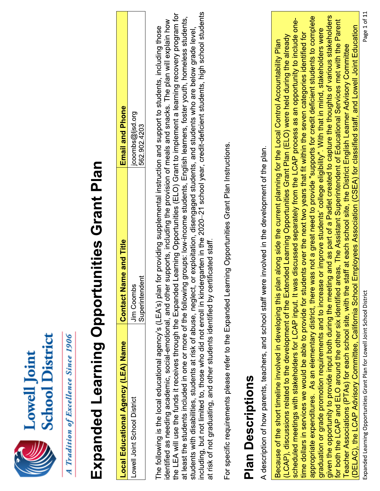| E<br>$\frac{1}{2}$<br>$c$ hoo<br>owe |
|--------------------------------------|
|                                      |

A Tradition of Excellence Since 1906

## Expanded Learning Opportunities Grant Plan

| Local Educational Agency (LEA) Name | lame and<br>I<br>Contact                                         | <b>Email and Phone</b>            |
|-------------------------------------|------------------------------------------------------------------|-----------------------------------|
| Lowell Joint School District        | jer<br>J<br>lim Coombr<br>superinter <sup>-</sup><br>)<br>)<br>) | ההיהופי שונים הגי<br>562.902.4203 |

including, but not limited to, those who did not enroll in kindergarten in the 2020-21 school year, credit-deficient students, high school students the LEA will use the funds it receives through the Expanded Learning Opportunities (ELO) Grant to implement a learning recovery program for at least the students included in one or more of the following groups: low-income students, English learners, foster youth, homeless students, identified as needing academic, social-emotional, and other supports, including the provision of meals and snacks. The plan will explain how The following is the local educational agency's (LEA's) plan for providing supplemental instruction and support to students, including those students with disabilities, students at risk of abuse, neglect, or exploitation, disengaged students, and students who are below grade level, at risk of not graduating, and other students identified by certificated staff.

For specific requirements please refer to the Expanded Learning Opportunities Grant Plan Instructions.

## **Plan Descriptions**

A description of how parents, teachers, and school staff were involved in the development of the plan.

given the opportunity to provide input both during the meeting and as part of a Padlet created to capture the thoughts of various stakeholders appropriate expenditures. As an elementary district, there was not a great need to provide "supports for credit deficient students to complete scheduled meetings with stakeholders for LCAP input. It was discussed separately from the LCAP process as an opportunity to include onefor both the LCAP and ELO around the other six identified areas. The Assistant Superintendent of Educational Services met with the Parent (DELAC), the LCAP Advisory Committee, California School Employees Association (CSEA) for classified staff, and Lowell Joint Education graduation or grade promotion requirements and to increase or improve students' college eligibility". With that in mind, stakeholders were time dollars in services we would be able to provide for students over the next two years that fit within the seven categories identified for (LCAP), discussions related to the development of the Extended Learning Opportunities Grant Plan (ELO) were held during the already Because of the short timeline involved in developing this plan along side the current planning for the Local Control Accountability Plan Teacher Associations (PTAs) for each school site, with the staff at each school site, the District English Learner Advisory Committee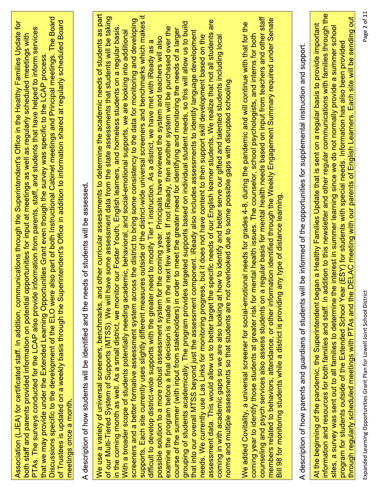| Discussions specific to the development of the ELO were also part of both Instructional Cabinet meetings and Principal meetings. The Board<br>of Trustees is updated on a weekly basis through the Superintendent's Office in addition to information shared at regularly scheduled Board<br>Association (LJEA) for certificated staff. In addition, communications through the Superintendent's Office in the Healthy Families Update for<br>information from parents, staff, and students that have helped to inform services<br>both staff and parents provided information on potential opportunities for input at meetings as well as regularly scheduled meetings with<br>that we may provide under the Extended Learning Opportunities Grant even though the survey was specific to the LCAP process.<br>PTAs. The surveys conducted for the LCAP also provide<br>meetings once a month. | eds of students will be assessed.<br>description of how students will be identified and the ne<br>⋖ | We use a variety of universal screeners, benchmarks, and other curricular assessments to determine the academic needs of students as part<br>supports. Each site currently uses slightly different measures outside of the district-wide universal screeners and benchmarks which makes it<br>of our Multi-Tiered System of Supports (MTSS). We will have some assessment data from the state assessments that students will be taking<br>screeners and a better formative assessment system across the district to bring some consistency to the data for monitoring and developing<br>are<br>grouping of students academically. The program provides targeted supports based on individual student needs, so this will allow us to build<br>examine the program before a final decision is made in the next few weeks. If not iReady, then another system will be purchased over the<br>in the coming month as well. As a small district, we monitor our Foster Youth, English learners, and homeless students on a regular basis<br>course of the summer (with input from stakeholders) in order to meet the greater need for identifying and monitoring the needs of a larger<br>With a broader scope of students potentially needing academic, behavioral, and social-emotional supports, we are looking into additional<br>that into our overall MTSS beyond just the assessment component. iReady also includes assessments to identify language development<br>assessment data. This would allow us to better target the specific needs of our English learner students. We realize that not all students<br>needs. We currently use Las Links for monitoring progress, but it does not have content to then support skill development based on the<br>coming in with academic gaps so we are also looking at how to identify and better serve our gifted and talented students including local<br>possible solution to a more robust assessment system for the coming year. Principals have reviewed the system and teachers will also<br>need to modify Tier 1 instruction. As a district, we have met with iReady as a<br>norms and multiple assessments so that students are not overlooked due to some possible gaps with disrupted schooling.<br>difficult to develop district-wide supports with the greater | counseling and psych services also assess students on a regular basis for mental health needs based on input from teachers and other staff<br>members related to behaviors, attendance, or other information identified through the Weekly Engagement Summary required under Senate<br>We added Covitality, a universal screener for social-emotional needs for grades 4-8, during the pandemic and will continue with that for the<br>coming year to identify those students at greater risk for mental health issues. The counselor, school psychologists, and interns for both<br>any type of distance learning.<br>Bill 98 for monitoring students while a district is providing | description of how parents and guardians of students will be informed of the opportunities for supplemental instruction and support.<br>$\prec$ | information and resources for both families and staff. In addition to this newsletter and other regular communications with families through the<br>through regularly scheduled meetings with PTAs and the DELAC meeting with our parents of English Learners. Each site will be sending out<br>At the beginning of the pandemic, the Superintendent began a Healthy Families Update that is sent on a regular basis to provide important<br>sites, a survey was sent out to all families to determine the interest in summer learning since we do not normally provide a summer school<br>program for students outside of the Extended School Year (ESY) for students with special needs. Information has also been provided |
|-------------------------------------------------------------------------------------------------------------------------------------------------------------------------------------------------------------------------------------------------------------------------------------------------------------------------------------------------------------------------------------------------------------------------------------------------------------------------------------------------------------------------------------------------------------------------------------------------------------------------------------------------------------------------------------------------------------------------------------------------------------------------------------------------------------------------------------------------------------------------------------------------|-----------------------------------------------------------------------------------------------------|-----------------------------------------------------------------------------------------------------------------------------------------------------------------------------------------------------------------------------------------------------------------------------------------------------------------------------------------------------------------------------------------------------------------------------------------------------------------------------------------------------------------------------------------------------------------------------------------------------------------------------------------------------------------------------------------------------------------------------------------------------------------------------------------------------------------------------------------------------------------------------------------------------------------------------------------------------------------------------------------------------------------------------------------------------------------------------------------------------------------------------------------------------------------------------------------------------------------------------------------------------------------------------------------------------------------------------------------------------------------------------------------------------------------------------------------------------------------------------------------------------------------------------------------------------------------------------------------------------------------------------------------------------------------------------------------------------------------------------------------------------------------------------------------------------------------------------------------------------------------------------------------------------------------------------------------------------------------------------------------------------------------------------------------------------------------------------------------------------------------------------------------------------------------------------------------------------------------------------------------------------------------------------------------------------------------------------|--------------------------------------------------------------------------------------------------------------------------------------------------------------------------------------------------------------------------------------------------------------------------------------------------------------------------------------------------------------------------------------------------------------------------------------------------------------------------------------------------------------------------------------------------------------------------------------------------------------------------------------------------------------------------------------|-------------------------------------------------------------------------------------------------------------------------------------------------|-------------------------------------------------------------------------------------------------------------------------------------------------------------------------------------------------------------------------------------------------------------------------------------------------------------------------------------------------------------------------------------------------------------------------------------------------------------------------------------------------------------------------------------------------------------------------------------------------------------------------------------------------------------------------------------------------------------------------------|
|-------------------------------------------------------------------------------------------------------------------------------------------------------------------------------------------------------------------------------------------------------------------------------------------------------------------------------------------------------------------------------------------------------------------------------------------------------------------------------------------------------------------------------------------------------------------------------------------------------------------------------------------------------------------------------------------------------------------------------------------------------------------------------------------------------------------------------------------------------------------------------------------------|-----------------------------------------------------------------------------------------------------|-----------------------------------------------------------------------------------------------------------------------------------------------------------------------------------------------------------------------------------------------------------------------------------------------------------------------------------------------------------------------------------------------------------------------------------------------------------------------------------------------------------------------------------------------------------------------------------------------------------------------------------------------------------------------------------------------------------------------------------------------------------------------------------------------------------------------------------------------------------------------------------------------------------------------------------------------------------------------------------------------------------------------------------------------------------------------------------------------------------------------------------------------------------------------------------------------------------------------------------------------------------------------------------------------------------------------------------------------------------------------------------------------------------------------------------------------------------------------------------------------------------------------------------------------------------------------------------------------------------------------------------------------------------------------------------------------------------------------------------------------------------------------------------------------------------------------------------------------------------------------------------------------------------------------------------------------------------------------------------------------------------------------------------------------------------------------------------------------------------------------------------------------------------------------------------------------------------------------------------------------------------------------------------------------------------------------------|--------------------------------------------------------------------------------------------------------------------------------------------------------------------------------------------------------------------------------------------------------------------------------------------------------------------------------------------------------------------------------------------------------------------------------------------------------------------------------------------------------------------------------------------------------------------------------------------------------------------------------------------------------------------------------------|-------------------------------------------------------------------------------------------------------------------------------------------------|-------------------------------------------------------------------------------------------------------------------------------------------------------------------------------------------------------------------------------------------------------------------------------------------------------------------------------------------------------------------------------------------------------------------------------------------------------------------------------------------------------------------------------------------------------------------------------------------------------------------------------------------------------------------------------------------------------------------------------|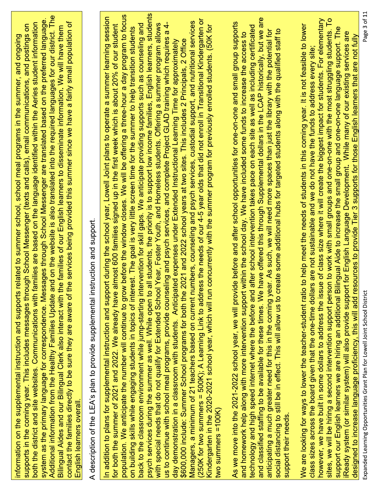Additional information from the Healthy Families Update and on the website is also translated into the required languages for our district. The system as the primary language for correspondence. Messages through School Messenger are translated based on the preferred language. both the district and site websites. Communications with families are based on the language identified within the Aeries student information contact the families directly to be sure they are aware of the services being provided this summer since we have a fairly small population of supports in the coming year. This includes messages through School Messenger (texts and calls), email communications, and postings on Bilingual Aides and our Bilingual Clerk also interact with the families of our English learners to disseminate information. We will have them information on the supplemental instruction and supports related to summer school, school meal programs in the summer, and ongoing English learners overall

A description of the LEA's plan to provide supplemental instruction and support.

psych services during the summer as well. While open to all students, the priority is to support low income families, English learners, students population. We anticipate the number will continue to grow before the window closes. We will be offering a three-hour a day program to focus In addition to plans for supplemental instruction and support during the school year, Lowell Joint plans to operate a summer learning session (250K for two summers = 500K); A Learning Link to address the needs of our 4-5 year olds that did not enroll in Transitional Kindergarten or Managers, a minimum of 21 teachers based on current numbers, counseling and psych services, custodial support, and nutritional services us to continue with school meal programs, provide counseling and psych services, and complete Project GLAD training which requires a 4with special needs that do not qualify for Extended School Year, Foster Youth, and Homeless students. Offering a summer program allows for both the summer of 2021 and 2022. We already have almost 600 families signed up in the first week which is about 20% of our student back to the classroom environment while jump-starting intervention for skill gaps. We anticipate providing supports such as counseling and Kindergarten in the 2020-2021 school year, which will run concurrently with the summer program for previously enrolled students. (50K for on building skills while engaging students in topics of interest. The goal is very little screen time for the summer to help transition students \$600,000 include: Summer School programs for both the 2021 and 2022 school years at two sites. This includes 2 Principals, 2 Office day demonstration in a classroom with students. Anticipated expenses under Extended Instructional Learning Time for approximately two summers  $=100K$ )

and classified staffing to be available for these times. We have offered this through Supplemental dollars in the LCAP historically, but we are As we move into the 2021-2022 school year, we will provide before and after school opportunities for one-on-one and small group supports technology and high speed internet where the before and after school intervention takes pace on each site as well as including certificated social distancing to still be in effect. This will allow us to create some additional hubs for targeted students along with the qualified staff to anticipating a much greater need for this in the coming year. As such, we will need more spaces than just the library with the potential for and homework help along with more intervention support within the school day. We have included some funds to increase the access to support their needs.

sites, we will be hiring a second intervention support person to work with small groups and one-on-one with the most struggling students. To however, we have built in some dollars to address the issue of class size where it will create the biggest impact for students. For elementary We are looking for ways to lower the teacher-student ratio to help meet the needs of students in this coming year. It is not feasible to lower support our English learners we are hiring an additional Bilingual Aide to increase the small group and one-on-one language support. The Ready system (or similar system) will also provide support for English Language Development. While many of our existing services are designed to increase language proficiency, this will add resources to provide Tier 3 supports for those English learners that are not fully class sizes across the board given that the one-time dollars are not sustainable and we do not have the funds to address every site;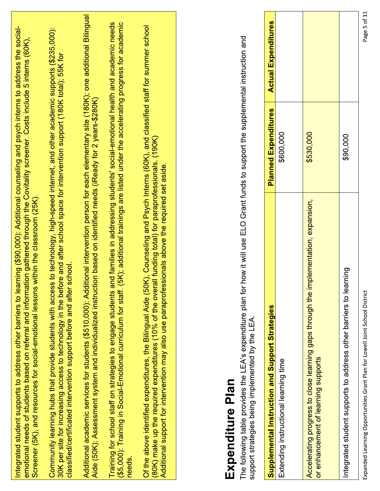| Page 5 of 11               |                             | Expanded Learning Opportunities Grant Plan for Lowell Joint School District                                                                                                                                                                                                                                                                                                    |
|----------------------------|-----------------------------|--------------------------------------------------------------------------------------------------------------------------------------------------------------------------------------------------------------------------------------------------------------------------------------------------------------------------------------------------------------------------------|
|                            | \$90,000                    | Integrated student supports to address other barriers to learning                                                                                                                                                                                                                                                                                                              |
|                            | \$530,000                   | Accelerating progress to close learning gaps through the implementation, expansion,<br>or enhancement of learning supports                                                                                                                                                                                                                                                     |
|                            | \$600,000                   | Extending instructional learning time                                                                                                                                                                                                                                                                                                                                          |
| <b>Actual Expenditures</b> | <b>Planned Expenditures</b> | Supplemental Instruction and Support Strategies                                                                                                                                                                                                                                                                                                                                |
|                            |                             | how it will use ELO Grant funds to support the supplemental instruction and<br>The following table provides the LEA's expenditure plan for<br>support strategies being implemented by the LEA<br>Expenditure Plan                                                                                                                                                              |
|                            |                             | Of the above identified expenditures, the Bilingual Aide (50K), Counseling and Psych Interns (60K), and classified staff for summer school<br>(80K) make up the required expenditures (10% of the overall funding total) for paraprofessionals. (190K)<br>Additional support for intervention may also use paraprofessionals above the required set aside.                     |
|                            |                             | (5K); additional trainings are listed under the accelerating progress for academic<br>and families in addressing students' social-emotional health and academic needs<br>(\$5,000): Training in Social-Emotional curriculum for staff.<br>Training for school staff on strategies to engage students<br>needs.                                                                 |
|                            |                             | Additional academic services for students (\$510,000): Additional intervention person for each elementary site (180K); one additional Bilingual<br>Aide (50K); Assessment system and individualized instruction based on identified needs (iReady for 2 years-\$280K)                                                                                                          |
|                            |                             | Community learning hubs that provide students with access to technology, high-speed internet, and other academic supports (\$235,000):<br>30K per site for increasing access to technology in the before and after school space for intervention support (180K total); 55K for<br>classified/certificated intervention support before and after school.                        |
|                            |                             | Integrated student supports to address other barriers to learning (\$90,000): Additional counseling and psych interns to address the social-<br>emotional needs of students based on referral and information gathered through the Covitality screener. Costs include 5 interns (60K)<br>Screener (5K), and resources for social-emotional lessons within the classroom (25K). |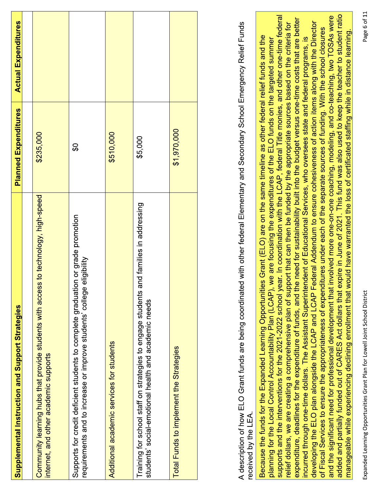| <b>Supplemental Instruction and Support Strategies</b>                                                                                                       | <b>Planned Expenditures</b> | <b>Actual Expenditures</b> |
|--------------------------------------------------------------------------------------------------------------------------------------------------------------|-----------------------------|----------------------------|
|                                                                                                                                                              |                             |                            |
| Community learning hubs that provide students with access to technology, high-speed<br>internet, and other academic supports                                 | \$235,000                   |                            |
| Supports for credit deficient students to complete graduation or grade promotion<br>eligibility<br>requirements and to increase or improve students' college | θŚ                          |                            |
| Additional academic services for students                                                                                                                    | \$510,000                   |                            |
| and families in addressing<br>Training for school staff on strategies to engage students<br>students' social-emotional health and academic needs             | \$5,000                     |                            |
| Total Funds to implement the Strategies                                                                                                                      | \$1,970,000                 |                            |
|                                                                                                                                                              |                             |                            |

A description of how ELO Grant funds are being coordinated with other federal Elementary and Secondary School Emergency Relief Funds received by the LEA.

added and partially funded out of CARES Act dollars that expire in June of 2021. This fund was also used to keep the teacher to student ratio and the significant need for professional development that involved more one-on-one coaching, modeling, and co-teaching, two TOSAs were supports and the interventions for the 2021-2022 school year. In coordination with the LCAP, federal Title monies, and other one-time federal expenditure, deadlines for the expenditure of funds, and the need for sustainability built into the budget versus one-time costs that are better developing the ELO plan alongside the LCAP and LCAP Federal Addendum to ensure cohesiveness of action items along with the Director relief dollars, we are creating a comprehensive plan of support that can then be funded by the appropriate sources based on the criteria for of Fiscal Services to ensure the appropriateness of expenditures under each of the separate sources of funding. With the school closures manageable while experiencing declining enrollment that would have warranted the loss of certificated staffing while in distance learning. Because the funds for the Expanded Learning Opportunities Grant (ELO) are on the same timeline as other federal relief funds and the incurred through one-time dollars. The Assistant Superintendent of Educational Services, who oversees state and federal programs, is planning for the Local Control Accountability Plan (LCAP), we are focusing the expenditures of the ELO funds on the targeted summer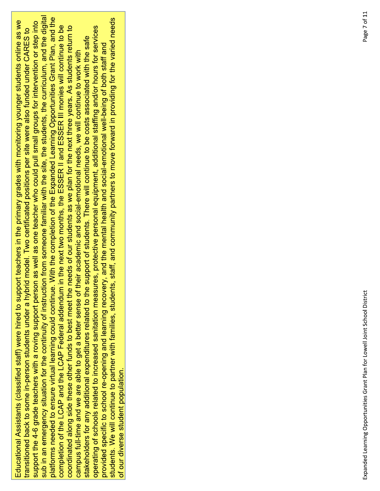sub in an emergency situation for the continuity of instruction from someone familiar with the site, the students, the curriculum, and the digital platforms needed to ensure virtual learning could continue. With the completion of the Expanded Learning Opportunities Grant Plan, and the students. We will continue to partner with families, students, staff, and community partners to move forward in providing for the varied needs Educational Assistants (classified staff) were hired to support teachers in the primary grades with monitoring younger students online as we support the 4-6 grade teachers with a roving support person as well as one teacher who could pull small groups for intervention or step into completion of the LCAP and the LCAP Federal addendum in the next two months, the ESSER II and ESSER III monies will continue to be coordinated along side these other funds to best meet the needs of our students as we plan for the next three years. As students return to operating of schools related to increased sanitation measures, protective personal equipment, additional staffing and/or hours for services transitioned back to some in-person students under a hybrid model. Two certificated positions per site were also funded under CARES to stakeholders for any additional expenditures related to the support of students. There will continue to be costs associated with the safe provided specific to school re-opening and learning recovery, and the mental health and social-emotional well-being of both staff and campus full-time and we are able to get a better sense of their academic and social-emotional needs, we will continue to work with of our diverse student population.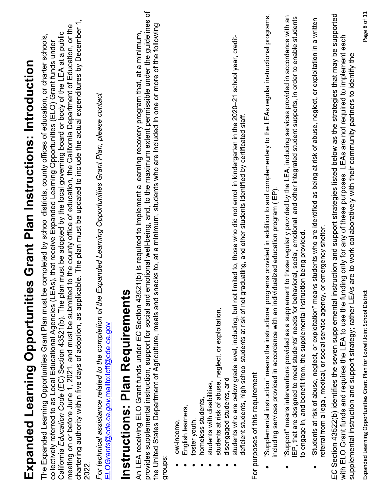| Expanded Learning Opportunities Grant Plan Instructions: Introduction                                                                                                                                                                                                                                                                                                                                                                                                                                                                                                                                                                                                                                                        |
|------------------------------------------------------------------------------------------------------------------------------------------------------------------------------------------------------------------------------------------------------------------------------------------------------------------------------------------------------------------------------------------------------------------------------------------------------------------------------------------------------------------------------------------------------------------------------------------------------------------------------------------------------------------------------------------------------------------------------|
| chartering authority within five days of adoption, as applicable. The plan must be updated to include the actual expenditures by December 1,<br>meeting on or before June 1, 2021, and must be submitted to the county office of education, the California Department of Education, or the<br>California Education Code (EC) Section 43521(b). The plan must be adopted by the local governing board or body of the LEA at a public<br>The Expanded Learning Opportunities Grant Plan must be completed by school districts, county offices of education, or charter schools,<br>collectively referred to as Local Educational Agencies (LEAs), that receive Expanded Learning Opportunities (ELO) Grant funds under<br>2022 |
| For technical assistance related to the completion of the Expanded Learning Opportunities Grant Plan, please contact<br>ELOGrants@cde.ca.gov.mailto:lcff@cde.ca.gov                                                                                                                                                                                                                                                                                                                                                                                                                                                                                                                                                          |
| Instructions: Plan Requirements                                                                                                                                                                                                                                                                                                                                                                                                                                                                                                                                                                                                                                                                                              |
| provides supplemental instruction, support for social and emotional well-being, and, to the maximum extent permissible under the guidelines of<br>the United States Department of Agriculture, meals and snacks to, at a minimum, students who are included in one or more of the following<br>An LEA receiving ELO Grant funds under EC Section 43521(b) is required to implement a learning recovery program that, at a minimum,<br>groups                                                                                                                                                                                                                                                                                 |
| students at risk of abuse, neglect, or exploitation,<br>disengaged students, and<br>students with disabilities,<br>homeless students,<br>English learners,<br>foster youth,<br>low-income,                                                                                                                                                                                                                                                                                                                                                                                                                                                                                                                                   |
| students who are below grade level, including, but not limited to, those who did not enroll in kindergarten in the 2020-21 school year, credit-<br>deficient students, high school students at risk of not graduating, and other students identified by certificated staff.<br>For purposes of this requirement                                                                                                                                                                                                                                                                                                                                                                                                              |
| "Supplemental instruction" means the instructional programs provided in addition to and complementary to the LEAs regular instructional programs,<br>ncluding services provided in accordance with an individualized education program (IEP).                                                                                                                                                                                                                                                                                                                                                                                                                                                                                |
| "Support" means interventions provided as a supplement to those regularly provided by the LEA, including services provided in accordance with an<br>IEP, that are designed to meet students' needs for behavioral, social, emotional, and other integrated student supports, in order to enable students<br>to engage in, and benefit from, the supplemental instruction being provided                                                                                                                                                                                                                                                                                                                                      |
| "Students at risk of abuse, neglect, or exploitation" means students who are identified as being at risk of abuse, neglect, or exploitation in a written<br>referral from a legal, medical, or social service agency, or emergency shelter.                                                                                                                                                                                                                                                                                                                                                                                                                                                                                  |
| EC Section 43522(b) identifies the seven supplemental instruction and support strategies listed below as the strategies that may be supported<br>with ELO Grant funds and requires the LEA to use the funding only for any of these purposes. LEAs are not required to implement each<br>are to work collaboratively with their community partners to identify the<br>supplemental instruction and support strategy; rather LEAs                                                                                                                                                                                                                                                                                             |
| $\overline{c}$                                                                                                                                                                                                                                                                                                                                                                                                                                                                                                                                                                                                                                                                                                               |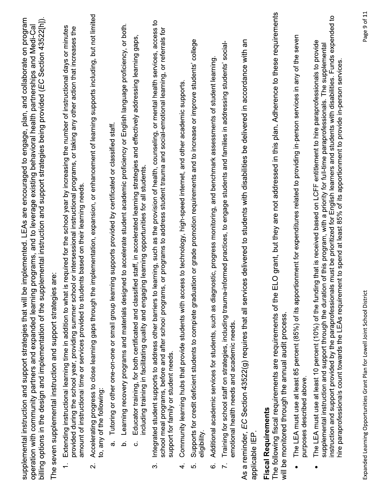| billing options in the design and implementation of the supplemental instruction and support strategies being provided (EC Section 43522[h]).<br>implemented. LEAs are encouraged to engage, plan, and collaborate on program<br>programs, and to leverage existing behavioral health partnerships and Medi-Cal<br>are:<br>supplemental instruction and support strategies that will be<br>operation with community partners and expanded learning<br>The seven supplemental instruction and support strategies | s required for the school year by increasing the number of instructional days or minutes<br>provided during the school year, providing summer school or intersessional instructional programs, or taking any other action that increases the<br>amount of instructional time or services provided to students based on their learning needs.<br>Extending instructional learning time in addition to what i<br>$\div$ | Accelerating progress to close learning gaps through the implementation, expansion, or enhancement of learning supports including, but not limited<br>to, any of the following:<br>$\overline{\mathbf{N}}$ | Tutoring or other one-on-one or small group learning supports provided by certificated or classified staff.<br>$\sigma$ | Learning recovery programs and materials designed to accelerate student academic proficiency or English language proficiency, or both.<br>a | Educator training, for both certificated and classified staff, in accelerated learning strategies and effectively addressing learning gaps,<br>including training in facilitating quality and engaging learning opportunities for all students<br>Ö | learning, such as the provision of health, counseling, or mental health services, access to<br>school meal programs, before and after school programs, or programs to address student trauma and social-emotional learning, or referrals for<br>Integrated student supports to address other barriers to<br>support for family or student needs.<br>$\dot{\infty}$ | Community learning hubs that provide students with access to technology, high-speed internet, and other academic supports<br>4. | Supports for credit deficient students to complete graduation or grade promotion requirements and to increase or improve students' college<br>eligibility<br>ဖာ | nostic, progress monitoring, and benchmark assessments of student learning<br>Additional academic services for students, such as diagr<br>Ġ | Training for school staff on strategies, including trauma-informed practices, to engage students and families in addressing students' social-<br>emotional health needs and academic needs.<br>$\ddot{\sim}$ | As a reminder, EC Section 43522(g) requires that all services delivered to students with disabilities be delivered in accordance with an<br>applicable IEP | The following fiscal requirements are requirements of the ELO grant, but they are not addressed in this plan. Adherence to these requirements<br>will be monitored through the annual audit process<br><b>Fiscal Requirements</b> | The LEA must use at least 85 percent (85%) of its apportionment for expenditures related to providing in-person services in any of the seven<br>purposes described above. | s must be prioritized for English learners and students with disabilities. Funds expended to<br>The LEA must use at least 10 percent (10%) of the funding that is received based on LCFF entitlement to hire paraprofessionals to provide<br>supplemental instruction and support through the duration of this program, with a priority for full-time paraprofessionals. The supplemental<br>hire paraprofessionals count towards the LEAs requirement to spend at least 85% of its apportionment to provide in-person services<br>instruction and support provided by the paraprofessional |
|-----------------------------------------------------------------------------------------------------------------------------------------------------------------------------------------------------------------------------------------------------------------------------------------------------------------------------------------------------------------------------------------------------------------------------------------------------------------------------------------------------------------|-----------------------------------------------------------------------------------------------------------------------------------------------------------------------------------------------------------------------------------------------------------------------------------------------------------------------------------------------------------------------------------------------------------------------|------------------------------------------------------------------------------------------------------------------------------------------------------------------------------------------------------------|-------------------------------------------------------------------------------------------------------------------------|---------------------------------------------------------------------------------------------------------------------------------------------|-----------------------------------------------------------------------------------------------------------------------------------------------------------------------------------------------------------------------------------------------------|--------------------------------------------------------------------------------------------------------------------------------------------------------------------------------------------------------------------------------------------------------------------------------------------------------------------------------------------------------------------|---------------------------------------------------------------------------------------------------------------------------------|-----------------------------------------------------------------------------------------------------------------------------------------------------------------|---------------------------------------------------------------------------------------------------------------------------------------------|--------------------------------------------------------------------------------------------------------------------------------------------------------------------------------------------------------------|------------------------------------------------------------------------------------------------------------------------------------------------------------|-----------------------------------------------------------------------------------------------------------------------------------------------------------------------------------------------------------------------------------|---------------------------------------------------------------------------------------------------------------------------------------------------------------------------|---------------------------------------------------------------------------------------------------------------------------------------------------------------------------------------------------------------------------------------------------------------------------------------------------------------------------------------------------------------------------------------------------------------------------------------------------------------------------------------------------------------------------------------------------------------------------------------------|
|-----------------------------------------------------------------------------------------------------------------------------------------------------------------------------------------------------------------------------------------------------------------------------------------------------------------------------------------------------------------------------------------------------------------------------------------------------------------------------------------------------------------|-----------------------------------------------------------------------------------------------------------------------------------------------------------------------------------------------------------------------------------------------------------------------------------------------------------------------------------------------------------------------------------------------------------------------|------------------------------------------------------------------------------------------------------------------------------------------------------------------------------------------------------------|-------------------------------------------------------------------------------------------------------------------------|---------------------------------------------------------------------------------------------------------------------------------------------|-----------------------------------------------------------------------------------------------------------------------------------------------------------------------------------------------------------------------------------------------------|--------------------------------------------------------------------------------------------------------------------------------------------------------------------------------------------------------------------------------------------------------------------------------------------------------------------------------------------------------------------|---------------------------------------------------------------------------------------------------------------------------------|-----------------------------------------------------------------------------------------------------------------------------------------------------------------|---------------------------------------------------------------------------------------------------------------------------------------------|--------------------------------------------------------------------------------------------------------------------------------------------------------------------------------------------------------------|------------------------------------------------------------------------------------------------------------------------------------------------------------|-----------------------------------------------------------------------------------------------------------------------------------------------------------------------------------------------------------------------------------|---------------------------------------------------------------------------------------------------------------------------------------------------------------------------|---------------------------------------------------------------------------------------------------------------------------------------------------------------------------------------------------------------------------------------------------------------------------------------------------------------------------------------------------------------------------------------------------------------------------------------------------------------------------------------------------------------------------------------------------------------------------------------------|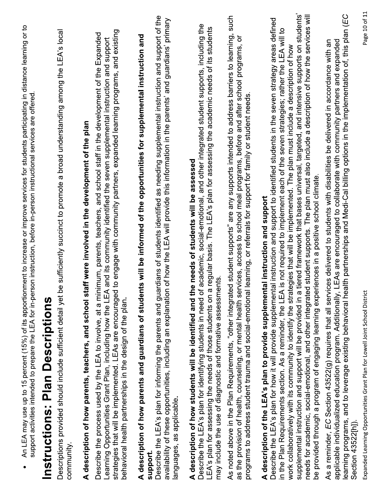| e sufficiently succinct to promote a broad understanding among the LEA's local<br>to engage with community partners, expanded learning programs, and existing<br>Describe the process used by the LEA to involve, at a minimum, parents, teachers, and school staff in the development of the Expanded<br>ts will be informed of the opportunities for supplemental instruction and<br>and its community identified the seven supplemental instruction and support<br>A description of how parents, teachers, and school staff were involved in the development of the plan<br>Descriptions provided should include sufficient detail yet b<br>Learning Opportunities Grant Plan, including how the LEA<br>strategies that will be implemented. LEAs are encouraged<br>A description of how parents and guardians of studen<br>behavioral health partnerships in the design of the plan.<br>community.                             | Describe the LEA's plan for informing the parents and guardians of students identified as needing supplemental instruction and support of the<br>of how the LEA will provide this information in the parents' and guardians' primary<br>availability of these opportunities, including an explanation<br>languages, as applicable.<br>support. |
|------------------------------------------------------------------------------------------------------------------------------------------------------------------------------------------------------------------------------------------------------------------------------------------------------------------------------------------------------------------------------------------------------------------------------------------------------------------------------------------------------------------------------------------------------------------------------------------------------------------------------------------------------------------------------------------------------------------------------------------------------------------------------------------------------------------------------------------------------------------------------------------------------------------------------------|------------------------------------------------------------------------------------------------------------------------------------------------------------------------------------------------------------------------------------------------------------------------------------------------------------------------------------------------|
|                                                                                                                                                                                                                                                                                                                                                                                                                                                                                                                                                                                                                                                                                                                                                                                                                                                                                                                                    |                                                                                                                                                                                                                                                                                                                                                |
|                                                                                                                                                                                                                                                                                                                                                                                                                                                                                                                                                                                                                                                                                                                                                                                                                                                                                                                                    |                                                                                                                                                                                                                                                                                                                                                |
|                                                                                                                                                                                                                                                                                                                                                                                                                                                                                                                                                                                                                                                                                                                                                                                                                                                                                                                                    | <b>Instructions: Plan Descriptions</b>                                                                                                                                                                                                                                                                                                         |
|                                                                                                                                                                                                                                                                                                                                                                                                                                                                                                                                                                                                                                                                                                                                                                                                                                                                                                                                    |                                                                                                                                                                                                                                                                                                                                                |
| academic, social-emotional, and other integrated student supports, including the<br>regular basis. The LEA's plan for assessing the academic needs of its students<br>e needs of students will be assessed<br>may include the use of diagnostic and formative assessments<br>A description of how students will be identified and th<br>Describe the LEA's plan for identifying students in need of<br>LEA's plan for assessing the needs of those students on a                                                                                                                                                                                                                                                                                                                                                                                                                                                                   |                                                                                                                                                                                                                                                                                                                                                |
| As noted above in the Plan Requirements, "other integrated student supports" are any supports intended to address barriers to learning, such<br>as the provision of health, counseling, or mental health services, access to school meal programs, before and after school programs, or<br>learning, or referrals for support for family or student needs<br>programs to address student trauma and social-emotional                                                                                                                                                                                                                                                                                                                                                                                                                                                                                                               |                                                                                                                                                                                                                                                                                                                                                |
| tiered framework that bases universal, targeted, and intensive supports on students'<br>needs for academic, social-emotional, and other integrated student supports. The plan must also include a description of how the services will<br>Describe the LEA's plan for how it will provide supplemental instruction and support to identified students in the seven strategy areas defined<br>in the Plan Requirements section. As a reminder, the LEA is not required to implement each of the seven strategies; rather the LEA will to<br>work collaboratively with its community to identify the strategies that will be implemented. The plan must include a description of how<br>be provided through a program of engaging learning experiences in a positive school climate<br>A description of the LEA's plan to provide supplemental instruction and support<br>supplemental instruction and support will be provided in a |                                                                                                                                                                                                                                                                                                                                                |
| learning programs, and to leverage existing behavioral health partnerships and Medi-Cal billing options in the implementation of, this plan (EC<br>LEAs are encouraged to collaborate with community partners and expanded<br>As a reminder, EC Section 43522(g) requires that all services delivered to students with disabilities be delivered in accordance with an<br>applicable individualized education program. Additionally,<br>Section 43522[h]).                                                                                                                                                                                                                                                                                                                                                                                                                                                                         |                                                                                                                                                                                                                                                                                                                                                |